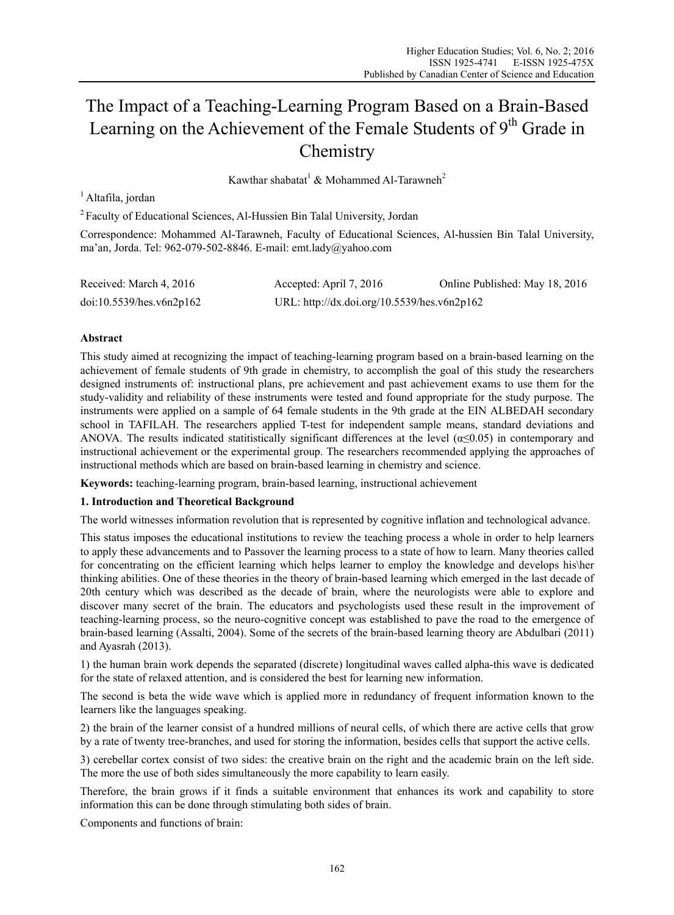# The Impact of a Teaching-Learning Program Based on a Brain-Based Learning on the Achievement of the Female Students of 9<sup>th</sup> Grade in **Chemistry**

Kawthar shabatat $^1$  & Mohammed Al-Tarawneh<sup>2</sup>

<sup>1</sup> Altafila, jordan

2 Faculty of Educational Sciences, Al-Hussien Bin Talal University, Jordan

Correspondence: Mohammed Al-Tarawneh, Faculty of Educational Sciences, Al-hussien Bin Talal University, ma'an, Jorda. Tel: 962-079-502-8846. E-mail: emt.lady@yahoo.com

| Received: March 4, 2016  | Accepted: April 7, 2016                     | Online Published: May 18, 2016 |
|--------------------------|---------------------------------------------|--------------------------------|
| doi:10.5539/hes.v6n2p162 | URL: http://dx.doi.org/10.5539/hes.v6n2p162 |                                |

## **Abstract**

This study aimed at recognizing the impact of teaching-learning program based on a brain-based learning on the achievement of female students of 9th grade in chemistry, to accomplish the goal of this study the researchers designed instruments of: instructional plans, pre achievement and past achievement exams to use them for the study-validity and reliability of these instruments were tested and found appropriate for the study purpose. The instruments were applied on a sample of 64 female students in the 9th grade at the EIN ALBEDAH secondary school in TAFILAH. The researchers applied T-test for independent sample means, standard deviations and ANOVA. The results indicated statitistically significant differences at the level  $(\alpha \le 0.05)$  in contemporary and instructional achievement or the experimental group. The researchers recommended applying the approaches of instructional methods which are based on brain-based learning in chemistry and science.

**Keywords:** teaching-learning program, brain-based learning, instructional achievement

## **1. Introduction and Theoretical Background**

The world witnesses information revolution that is represented by cognitive inflation and technological advance.

This status imposes the educational institutions to review the teaching process a whole in order to help learners to apply these advancements and to Passover the learning process to a state of how to learn. Many theories called for concentrating on the efficient learning which helps learner to employ the knowledge and develops his\her thinking abilities. One of these theories in the theory of brain-based learning which emerged in the last decade of 20th century which was described as the decade of brain, where the neurologists were able to explore and discover many secret of the brain. The educators and psychologists used these result in the improvement of teaching-learning process, so the neuro-cognitive concept was established to pave the road to the emergence of brain-based learning (Assalti, 2004). Some of the secrets of the brain-based learning theory are Abdulbari (2011) and Ayasrah (2013).

1) the human brain work depends the separated (discrete) longitudinal waves called alpha-this wave is dedicated for the state of relaxed attention, and is considered the best for learning new information.

The second is beta the wide wave which is applied more in redundancy of frequent information known to the learners like the languages speaking.

2) the brain of the learner consist of a hundred millions of neural cells, of which there are active cells that grow by a rate of twenty tree-branches, and used for storing the information, besides cells that support the active cells.

3) cerebellar cortex consist of two sides: the creative brain on the right and the academic brain on the left side. The more the use of both sides simultaneously the more capability to learn easily.

Therefore, the brain grows if it finds a suitable environment that enhances its work and capability to store information this can be done through stimulating both sides of brain.

Components and functions of brain: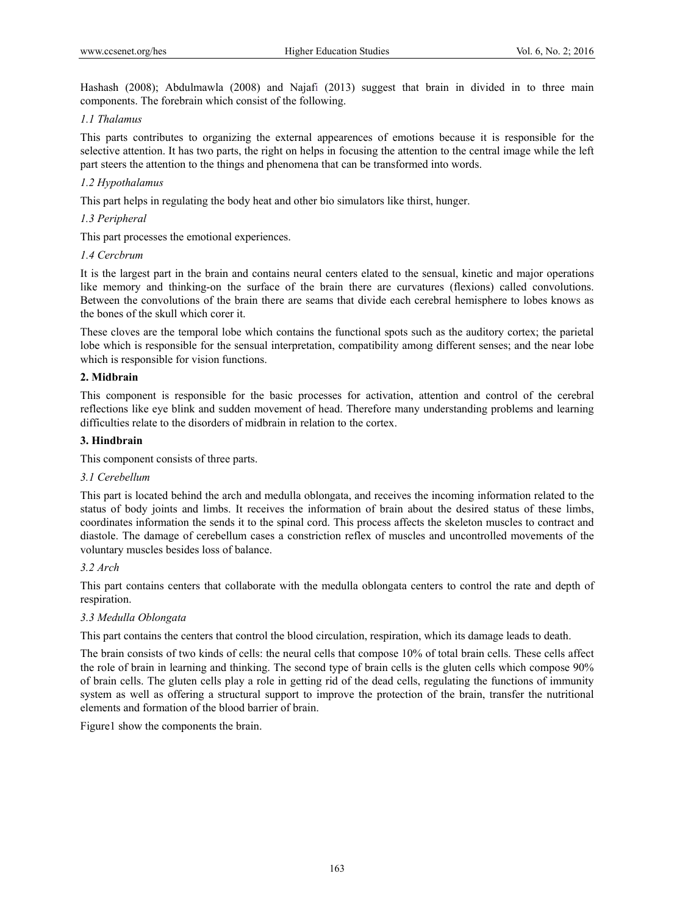Hashash (2008); Abdulmawla (2008) and Najafi (2013) suggest that brain in divided in to three main components. The forebrain which consist of the following.

## *1.1 Thalamus*

This parts contributes to organizing the external appearences of emotions because it is responsible for the selective attention. It has two parts, the right on helps in focusing the attention to the central image while the left part steers the attention to the things and phenomena that can be transformed into words.

## *1.2 Hypothalamus*

This part helps in regulating the body heat and other bio simulators like thirst, hunger.

## *1.3 Peripheral*

This part processes the emotional experiences.

## *1.4 Cercbrum*

It is the largest part in the brain and contains neural centers elated to the sensual, kinetic and major operations like memory and thinking-on the surface of the brain there are curvatures (flexions) called convolutions. Between the convolutions of the brain there are seams that divide each cerebral hemisphere to lobes knows as the bones of the skull which corer it.

These cloves are the temporal lobe which contains the functional spots such as the auditory cortex; the parietal lobe which is responsible for the sensual interpretation, compatibility among different senses; and the near lobe which is responsible for vision functions.

## **2. Midbrain**

This component is responsible for the basic processes for activation, attention and control of the cerebral reflections like eye blink and sudden movement of head. Therefore many understanding problems and learning difficulties relate to the disorders of midbrain in relation to the cortex.

## **3. Hindbrain**

This component consists of three parts.

## *3.1 Cerebellum*

This part is located behind the arch and medulla oblongata, and receives the incoming information related to the status of body joints and limbs. It receives the information of brain about the desired status of these limbs, coordinates information the sends it to the spinal cord. This process affects the skeleton muscles to contract and diastole. The damage of cerebellum cases a constriction reflex of muscles and uncontrolled movements of the voluntary muscles besides loss of balance.

## *3.2 Arch*

This part contains centers that collaborate with the medulla oblongata centers to control the rate and depth of respiration.

# *3.3 Medulla Oblongata*

This part contains the centers that control the blood circulation, respiration, which its damage leads to death.

The brain consists of two kinds of cells: the neural cells that compose 10% of total brain cells. These cells affect the role of brain in learning and thinking. The second type of brain cells is the gluten cells which compose 90% of brain cells. The gluten cells play a role in getting rid of the dead cells, regulating the functions of immunity system as well as offering a structural support to improve the protection of the brain, transfer the nutritional elements and formation of the blood barrier of brain.

Figure1 show the components the brain.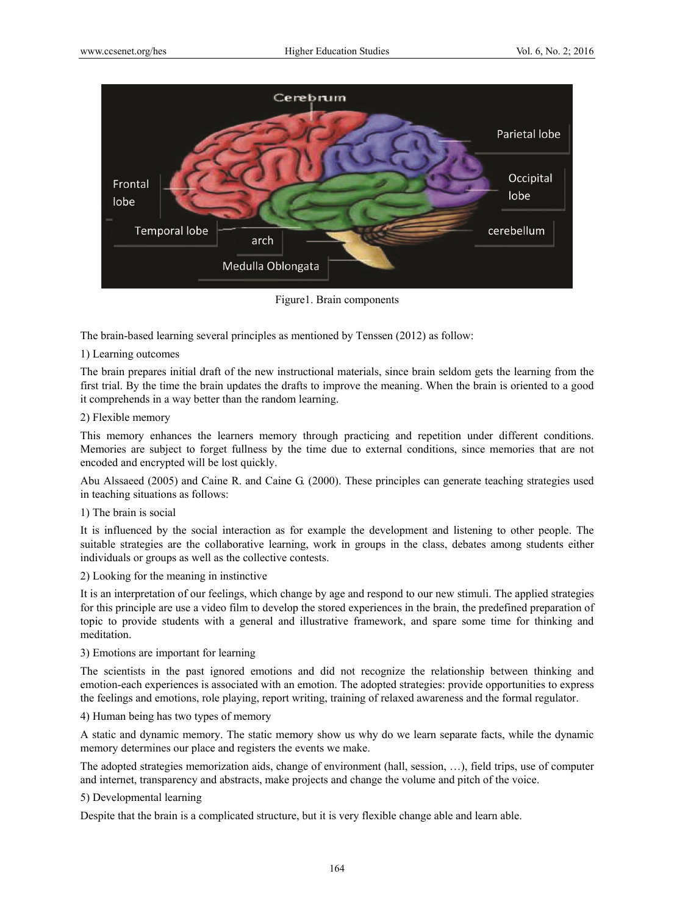

Figure1. Brain components

The brain-based learning several principles as mentioned by Tenssen (2012) as follow:

## 1) Learning outcomes

The brain prepares initial draft of the new instructional materials, since brain seldom gets the learning from the first trial. By the time the brain updates the drafts to improve the meaning. When the brain is oriented to a good it comprehends in a way better than the random learning.

## 2) Flexible memory

This memory enhances the learners memory through practicing and repetition under different conditions. Memories are subject to forget fullness by the time due to external conditions, since memories that are not encoded and encrypted will be lost quickly.

Abu Alssaeed (2005) and Caine R. and Caine G. (2000). These principles can generate teaching strategies used in teaching situations as follows:

## 1) The brain is social

It is influenced by the social interaction as for example the development and listening to other people. The suitable strategies are the collaborative learning, work in groups in the class, debates among students either individuals or groups as well as the collective contests.

## 2) Looking for the meaning in instinctive

It is an interpretation of our feelings, which change by age and respond to our new stimuli. The applied strategies for this principle are use a video film to develop the stored experiences in the brain, the predefined preparation of topic to provide students with a general and illustrative framework, and spare some time for thinking and meditation.

## 3) Emotions are important for learning

The scientists in the past ignored emotions and did not recognize the relationship between thinking and emotion-each experiences is associated with an emotion. The adopted strategies: provide opportunities to express the feelings and emotions, role playing, report writing, training of relaxed awareness and the formal regulator.

## 4) Human being has two types of memory

A static and dynamic memory. The static memory show us why do we learn separate facts, while the dynamic memory determines our place and registers the events we make.

The adopted strategies memorization aids, change of environment (hall, session, …), field trips, use of computer and internet, transparency and abstracts, make projects and change the volume and pitch of the voice.

## 5) Developmental learning

Despite that the brain is a complicated structure, but it is very flexible change able and learn able.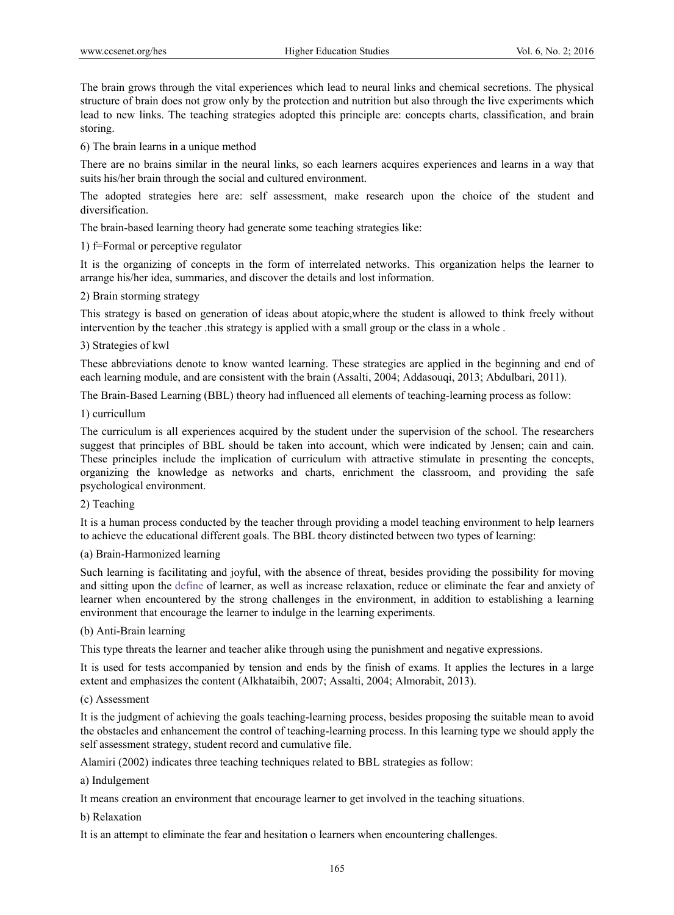The brain grows through the vital experiences which lead to neural links and chemical secretions. The physical structure of brain does not grow only by the protection and nutrition but also through the live experiments which lead to new links. The teaching strategies adopted this principle are: concepts charts, classification, and brain storing.

## 6) The brain learns in a unique method

There are no brains similar in the neural links, so each learners acquires experiences and learns in a way that suits his/her brain through the social and cultured environment.

The adopted strategies here are: self assessment, make research upon the choice of the student and diversification.

The brain-based learning theory had generate some teaching strategies like:

#### 1) f=Formal or perceptive regulator

It is the organizing of concepts in the form of interrelated networks. This organization helps the learner to arrange his/her idea, summaries, and discover the details and lost information.

#### 2) Brain storming strategy

This strategy is based on generation of ideas about atopic,where the student is allowed to think freely without intervention by the teacher .this strategy is applied with a small group or the class in a whole .

#### 3) Strategies of kwl

These abbreviations denote to know wanted learning. These strategies are applied in the beginning and end of each learning module, and are consistent with the brain (Assalti, 2004; Addasouqi, 2013; Abdulbari, 2011).

The Brain-Based Learning (BBL) theory had influenced all elements of teaching-learning process as follow:

#### 1) curricullum

The curriculum is all experiences acquired by the student under the supervision of the school. The researchers suggest that principles of BBL should be taken into account, which were indicated by Jensen; cain and cain. These principles include the implication of curriculum with attractive stimulate in presenting the concepts, organizing the knowledge as networks and charts, enrichment the classroom, and providing the safe psychological environment.

## 2) Teaching

It is a human process conducted by the teacher through providing a model teaching environment to help learners to achieve the educational different goals. The BBL theory distincted between two types of learning:

## (a) Brain-Harmonized learning

Such learning is facilitating and joyful, with the absence of threat, besides providing the possibility for moving and sitting upon the define of learner, as well as increase relaxation, reduce or eliminate the fear and anxiety of learner when encountered by the strong challenges in the environment, in addition to establishing a learning environment that encourage the learner to indulge in the learning experiments.

## (b) Anti-Brain learning

This type threats the learner and teacher alike through using the punishment and negative expressions.

It is used for tests accompanied by tension and ends by the finish of exams. It applies the lectures in a large extent and emphasizes the content (Alkhataibih, 2007; Assalti, 2004; Almorabit, 2013).

## (c) Assessment

It is the judgment of achieving the goals teaching-learning process, besides proposing the suitable mean to avoid the obstacles and enhancement the control of teaching-learning process. In this learning type we should apply the self assessment strategy, student record and cumulative file.

Alamiri (2002) indicates three teaching techniques related to BBL strategies as follow:

#### a) Indulgement

It means creation an environment that encourage learner to get involved in the teaching situations.

#### b) Relaxation

It is an attempt to eliminate the fear and hesitation o learners when encountering challenges.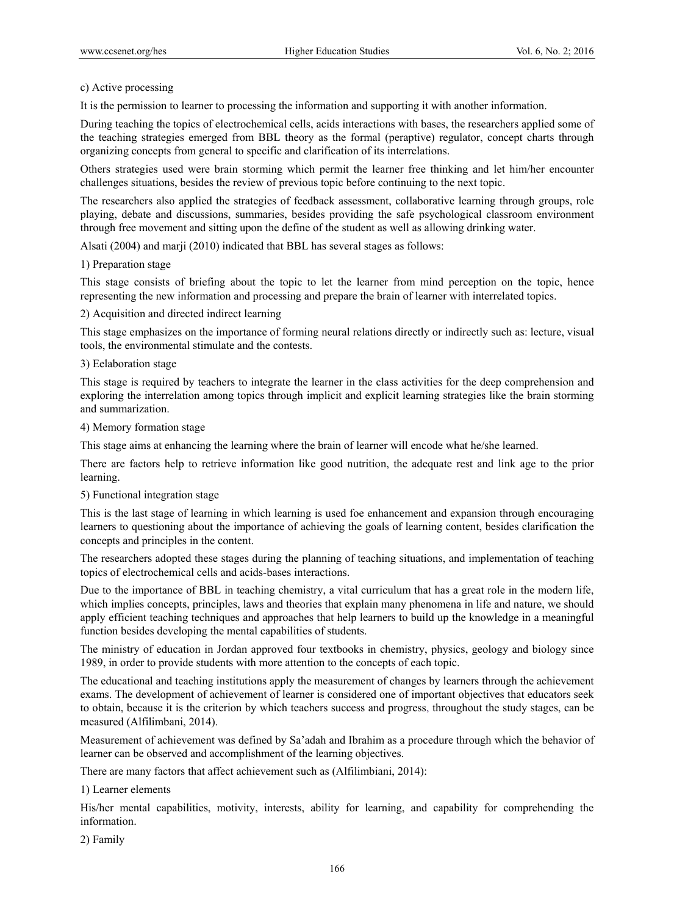## c) Active processing

It is the permission to learner to processing the information and supporting it with another information.

During teaching the topics of electrochemical cells, acids interactions with bases, the researchers applied some of the teaching strategies emerged from BBL theory as the formal (peraptive) regulator, concept charts through organizing concepts from general to specific and clarification of its interrelations.

Others strategies used were brain storming which permit the learner free thinking and let him/her encounter challenges situations, besides the review of previous topic before continuing to the next topic.

The researchers also applied the strategies of feedback assessment, collaborative learning through groups, role playing, debate and discussions, summaries, besides providing the safe psychological classroom environment through free movement and sitting upon the define of the student as well as allowing drinking water.

Alsati (2004) and marji (2010) indicated that BBL has several stages as follows:

#### 1) Preparation stage

This stage consists of briefing about the topic to let the learner from mind perception on the topic, hence representing the new information and processing and prepare the brain of learner with interrelated topics.

2) Acquisition and directed indirect learning

This stage emphasizes on the importance of forming neural relations directly or indirectly such as: lecture, visual tools, the environmental stimulate and the contests.

3) Eelaboration stage

This stage is required by teachers to integrate the learner in the class activities for the deep comprehension and exploring the interrelation among topics through implicit and explicit learning strategies like the brain storming and summarization.

#### 4) Memory formation stage

This stage aims at enhancing the learning where the brain of learner will encode what he/she learned.

There are factors help to retrieve information like good nutrition, the adequate rest and link age to the prior learning.

## 5) Functional integration stage

This is the last stage of learning in which learning is used foe enhancement and expansion through encouraging learners to questioning about the importance of achieving the goals of learning content, besides clarification the concepts and principles in the content.

The researchers adopted these stages during the planning of teaching situations, and implementation of teaching topics of electrochemical cells and acids-bases interactions.

Due to the importance of BBL in teaching chemistry, a vital curriculum that has a great role in the modern life, which implies concepts, principles, laws and theories that explain many phenomena in life and nature, we should apply efficient teaching techniques and approaches that help learners to build up the knowledge in a meaningful function besides developing the mental capabilities of students.

The ministry of education in Jordan approved four textbooks in chemistry, physics, geology and biology since 1989, in order to provide students with more attention to the concepts of each topic.

The educational and teaching institutions apply the measurement of changes by learners through the achievement exams. The development of achievement of learner is considered one of important objectives that educators seek to obtain, because it is the criterion by which teachers success and progress, throughout the study stages, can be measured (Alfilimbani, 2014).

Measurement of achievement was defined by Sa'adah and Ibrahim as a procedure through which the behavior of learner can be observed and accomplishment of the learning objectives.

There are many factors that affect achievement such as (Alfilimbiani, 2014):

1) Learner elements

His/her mental capabilities, motivity, interests, ability for learning, and capability for comprehending the information.

2) Family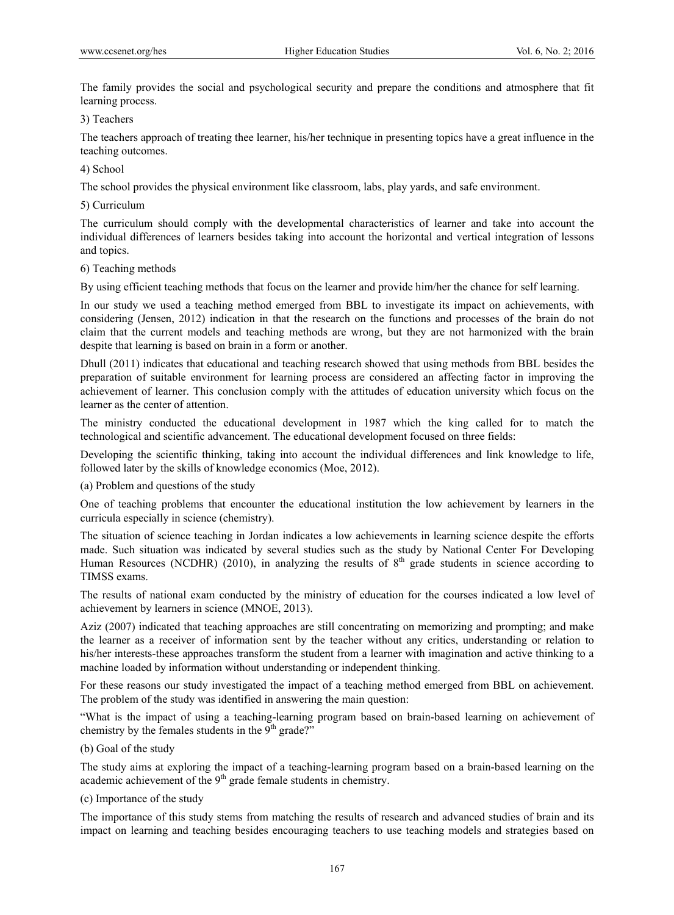The family provides the social and psychological security and prepare the conditions and atmosphere that fit learning process.

3) Teachers

The teachers approach of treating thee learner, his/her technique in presenting topics have a great influence in the teaching outcomes.

4) School

The school provides the physical environment like classroom, labs, play yards, and safe environment.

5) Curriculum

The curriculum should comply with the developmental characteristics of learner and take into account the individual differences of learners besides taking into account the horizontal and vertical integration of lessons and topics.

6) Teaching methods

By using efficient teaching methods that focus on the learner and provide him/her the chance for self learning.

In our study we used a teaching method emerged from BBL to investigate its impact on achievements, with considering (Jensen, 2012) indication in that the research on the functions and processes of the brain do not claim that the current models and teaching methods are wrong, but they are not harmonized with the brain despite that learning is based on brain in a form or another.

Dhull (2011) indicates that educational and teaching research showed that using methods from BBL besides the preparation of suitable environment for learning process are considered an affecting factor in improving the achievement of learner. This conclusion comply with the attitudes of education university which focus on the learner as the center of attention.

The ministry conducted the educational development in 1987 which the king called for to match the technological and scientific advancement. The educational development focused on three fields:

Developing the scientific thinking, taking into account the individual differences and link knowledge to life, followed later by the skills of knowledge economics (Moe, 2012).

(a) Problem and questions of the study

One of teaching problems that encounter the educational institution the low achievement by learners in the curricula especially in science (chemistry).

The situation of science teaching in Jordan indicates a low achievements in learning science despite the efforts made. Such situation was indicated by several studies such as the study by National Center For Developing Human Resources (NCDHR) (2010), in analyzing the results of  $8<sup>th</sup>$  grade students in science according to TIMSS exams.

The results of national exam conducted by the ministry of education for the courses indicated a low level of achievement by learners in science (MNOE, 2013).

Aziz (2007) indicated that teaching approaches are still concentrating on memorizing and prompting; and make the learner as a receiver of information sent by the teacher without any critics, understanding or relation to his/her interests-these approaches transform the student from a learner with imagination and active thinking to a machine loaded by information without understanding or independent thinking.

For these reasons our study investigated the impact of a teaching method emerged from BBL on achievement. The problem of the study was identified in answering the main question:

"What is the impact of using a teaching-learning program based on brain-based learning on achievement of chemistry by the females students in the  $9<sup>th</sup>$  grade?"

(b) Goal of the study

The study aims at exploring the impact of a teaching-learning program based on a brain-based learning on the academic achievement of the  $9<sup>th</sup>$  grade female students in chemistry.

(c) Importance of the study

The importance of this study stems from matching the results of research and advanced studies of brain and its impact on learning and teaching besides encouraging teachers to use teaching models and strategies based on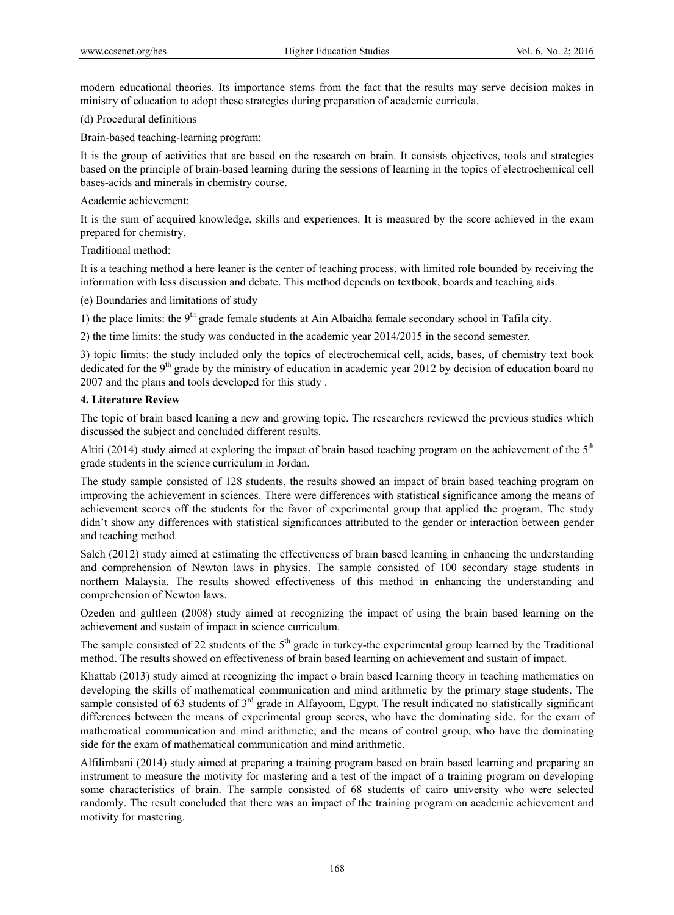modern educational theories. Its importance stems from the fact that the results may serve decision makes in ministry of education to adopt these strategies during preparation of academic curricula.

(d) Procedural definitions

Brain-based teaching-learning program:

It is the group of activities that are based on the research on brain. It consists objectives, tools and strategies based on the principle of brain-based learning during the sessions of learning in the topics of electrochemical cell bases-acids and minerals in chemistry course.

#### Academic achievement:

It is the sum of acquired knowledge, skills and experiences. It is measured by the score achieved in the exam prepared for chemistry.

Traditional method:

It is a teaching method a here leaner is the center of teaching process, with limited role bounded by receiving the information with less discussion and debate. This method depends on textbook, boards and teaching aids.

(e) Boundaries and limitations of study

1) the place limits: the  $9<sup>th</sup>$  grade female students at Ain Albaidha female secondary school in Tafila city.

2) the time limits: the study was conducted in the academic year 2014/2015 in the second semester.

3) topic limits: the study included only the topics of electrochemical cell, acids, bases, of chemistry text book dedicated for the 9<sup>th</sup> grade by the ministry of education in academic year 2012 by decision of education board no 2007 and the plans and tools developed for this study .

#### **4. Literature Review**

The topic of brain based leaning a new and growing topic. The researchers reviewed the previous studies which discussed the subject and concluded different results.

Altiti (2014) study aimed at exploring the impact of brain based teaching program on the achievement of the  $5<sup>th</sup>$ grade students in the science curriculum in Jordan.

The study sample consisted of 128 students, the results showed an impact of brain based teaching program on improving the achievement in sciences. There were differences with statistical significance among the means of achievement scores off the students for the favor of experimental group that applied the program. The study didn't show any differences with statistical significances attributed to the gender or interaction between gender and teaching method.

Saleh (2012) study aimed at estimating the effectiveness of brain based learning in enhancing the understanding and comprehension of Newton laws in physics. The sample consisted of 100 secondary stage students in northern Malaysia. The results showed effectiveness of this method in enhancing the understanding and comprehension of Newton laws.

Ozeden and gultleen (2008) study aimed at recognizing the impact of using the brain based learning on the achievement and sustain of impact in science curriculum.

The sample consisted of 22 students of the  $5<sup>th</sup>$  grade in turkey-the experimental group learned by the Traditional method. The results showed on effectiveness of brain based learning on achievement and sustain of impact.

Khattab (2013) study aimed at recognizing the impact o brain based learning theory in teaching mathematics on developing the skills of mathematical communication and mind arithmetic by the primary stage students. The sample consisted of 63 students of 3<sup>rd</sup> grade in Alfayoom, Egypt. The result indicated no statistically significant differences between the means of experimental group scores, who have the dominating side. for the exam of mathematical communication and mind arithmetic, and the means of control group, who have the dominating side for the exam of mathematical communication and mind arithmetic.

Alfilimbani (2014) study aimed at preparing a training program based on brain based learning and preparing an instrument to measure the motivity for mastering and a test of the impact of a training program on developing some characteristics of brain. The sample consisted of 68 students of cairo university who were selected randomly. The result concluded that there was an impact of the training program on academic achievement and motivity for mastering.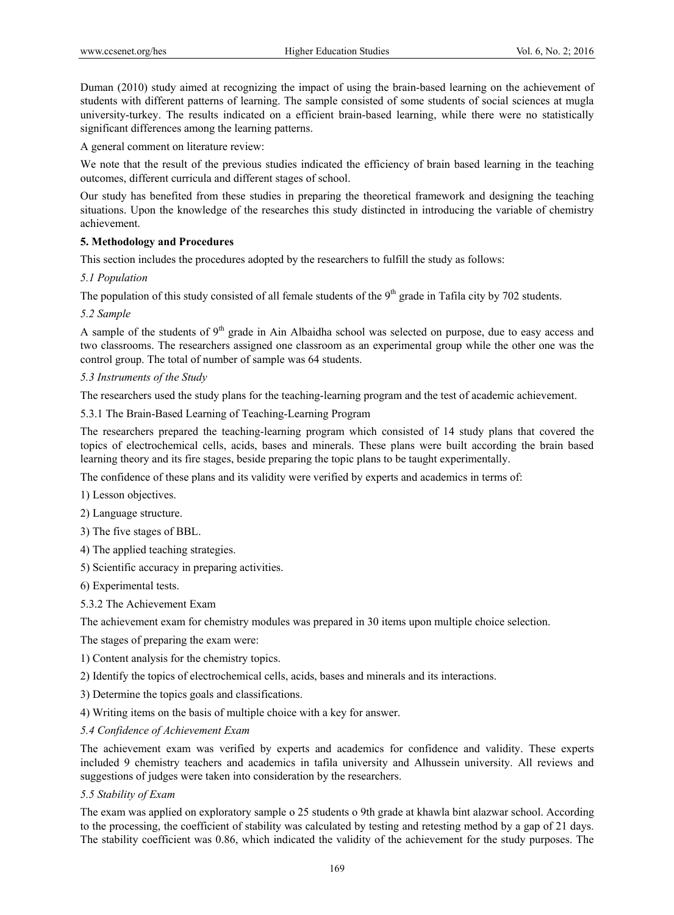Duman (2010) study aimed at recognizing the impact of using the brain-based learning on the achievement of students with different patterns of learning. The sample consisted of some students of social sciences at mugla university-turkey. The results indicated on a efficient brain-based learning, while there were no statistically significant differences among the learning patterns.

A general comment on literature review:

We note that the result of the previous studies indicated the efficiency of brain based learning in the teaching outcomes, different curricula and different stages of school.

Our study has benefited from these studies in preparing the theoretical framework and designing the teaching situations. Upon the knowledge of the researches this study distincted in introducing the variable of chemistry achievement.

#### **5. Methodology and Procedures**

This section includes the procedures adopted by the researchers to fulfill the study as follows:

#### *5.1 Population*

The population of this study consisted of all female students of the  $9<sup>th</sup>$  grade in Tafila city by 702 students.

*5.2 Sample* 

A sample of the students of  $9<sup>th</sup>$  grade in Ain Albaidha school was selected on purpose, due to easy access and two classrooms. The researchers assigned one classroom as an experimental group while the other one was the control group. The total of number of sample was 64 students.

#### *5.3 Instruments of the Study*

The researchers used the study plans for the teaching-learning program and the test of academic achievement.

5.3.1 The Brain-Based Learning of Teaching-Learning Program

The researchers prepared the teaching-learning program which consisted of 14 study plans that covered the topics of electrochemical cells, acids, bases and minerals. These plans were built according the brain based learning theory and its fire stages, beside preparing the topic plans to be taught experimentally.

The confidence of these plans and its validity were verified by experts and academics in terms of:

1) Lesson objectives.

2) Language structure.

- 3) The five stages of BBL.
- 4) The applied teaching strategies.
- 5) Scientific accuracy in preparing activities.
- 6) Experimental tests.
- 5.3.2 The Achievement Exam

The achievement exam for chemistry modules was prepared in 30 items upon multiple choice selection.

The stages of preparing the exam were:

- 1) Content analysis for the chemistry topics.
- 2) Identify the topics of electrochemical cells, acids, bases and minerals and its interactions.
- 3) Determine the topics goals and classifications.
- 4) Writing items on the basis of multiple choice with a key for answer.
- *5.4 Confidence of Achievement Exam*

The achievement exam was verified by experts and academics for confidence and validity. These experts included 9 chemistry teachers and academics in tafila university and Alhussein university. All reviews and suggestions of judges were taken into consideration by the researchers.

*5.5 Stability of Exam* 

The exam was applied on exploratory sample o 25 students o 9th grade at khawla bint alazwar school. According to the processing, the coefficient of stability was calculated by testing and retesting method by a gap of 21 days. The stability coefficient was 0.86, which indicated the validity of the achievement for the study purposes. The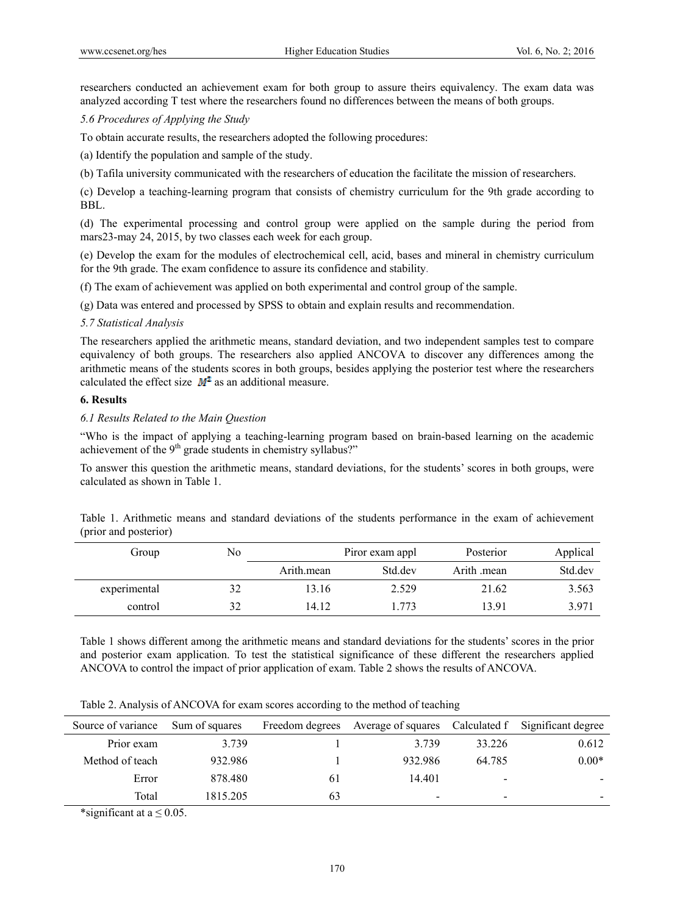researchers conducted an achievement exam for both group to assure theirs equivalency. The exam data was analyzed according T test where the researchers found no differences between the means of both groups.

## *5.6 Procedures of Applying the Study*

To obtain accurate results, the researchers adopted the following procedures:

(a) Identify the population and sample of the study.

(b) Tafila university communicated with the researchers of education the facilitate the mission of researchers.

(c) Develop a teaching-learning program that consists of chemistry curriculum for the 9th grade according to BBL.

(d) The experimental processing and control group were applied on the sample during the period from mars23-may 24, 2015, by two classes each week for each group.

(e) Develop the exam for the modules of electrochemical cell, acid, bases and mineral in chemistry curriculum for the 9th grade. The exam confidence to assure its confidence and stability.

(f) The exam of achievement was applied on both experimental and control group of the sample.

(g) Data was entered and processed by SPSS to obtain and explain results and recommendation.

## *5.7 Statistical Analysis*

The researchers applied the arithmetic means, standard deviation, and two independent samples test to compare equivalency of both groups. The researchers also applied ANCOVA to discover any differences among the arithmetic means of the students scores in both groups, besides applying the posterior test where the researchers calculated the effect size  $M^2$  as an additional measure.

# **6. Results**

## *6.1 Results Related to the Main Question*

"Who is the impact of applying a teaching-learning program based on brain-based learning on the academic achievement of the 9<sup>th</sup> grade students in chemistry syllabus?"

To answer this question the arithmetic means, standard deviations, for the students' scores in both groups, were calculated as shown in Table 1.

Table 1. Arithmetic means and standard deviations of the students performance in the exam of achievement (prior and posterior)

| Group        | No |            | Posterior<br>Piror exam appl |            |         |
|--------------|----|------------|------------------------------|------------|---------|
|              |    | Arith.mean | Std.dev                      | Arith mean | Std.dev |
| experimental | 32 | 13.16      | 2.529                        | 21.62      | 3.563   |
| control      | 32 | 14.12      | .773                         | 13.91      | 3.971   |

Table 1 shows different among the arithmetic means and standard deviations for the students' scores in the prior and posterior exam application. To test the statistical significance of these different the researchers applied ANCOVA to control the impact of prior application of exam. Table 2 shows the results of ANCOVA.

|  | Table 2. Analysis of ANCOVA for exam scores according to the method of teaching |
|--|---------------------------------------------------------------------------------|
|  |                                                                                 |

| Source of variance | Sum of squares | Freedom degrees | Average of squares | Calculated f                 | Significant degree |
|--------------------|----------------|-----------------|--------------------|------------------------------|--------------------|
| Prior exam         | 3.739          |                 | 3.739              | 33.226                       | 0.612              |
| Method of teach    | 932.986        |                 | 932.986            | 64.785                       | $0.00*$            |
| Error              | 878.480        | 61              | 14.401             | $\qquad \qquad \blacksquare$ |                    |
| Total              | 1815.205       | 63              | $\,$               | $\overline{\phantom{0}}$     |                    |

\*significant at  $a \leq 0.05$ .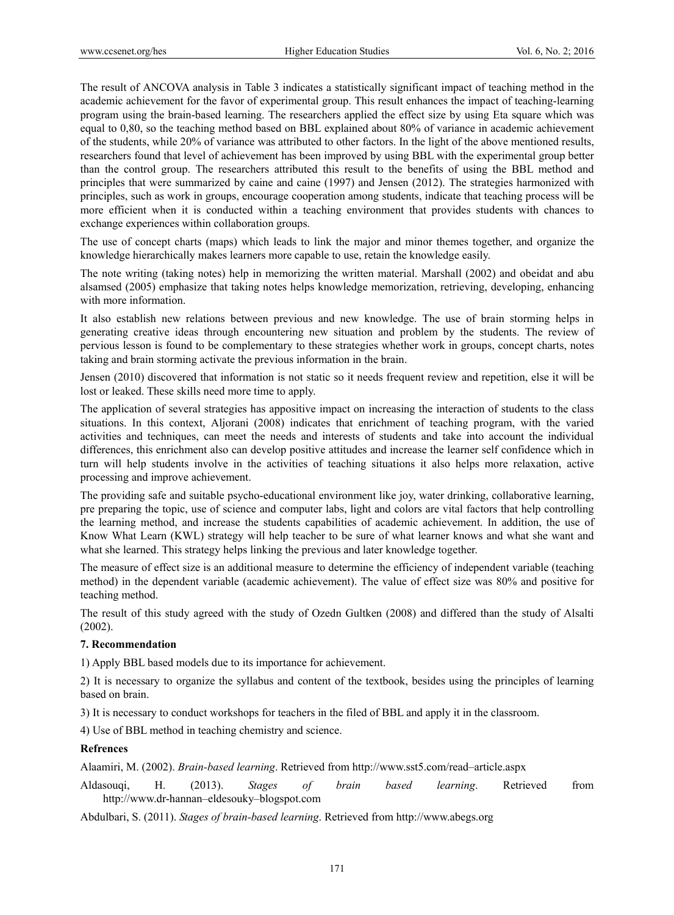The result of ANCOVA analysis in Table 3 indicates a statistically significant impact of teaching method in the academic achievement for the favor of experimental group. This result enhances the impact of teaching-learning program using the brain-based learning. The researchers applied the effect size by using Eta square which was equal to 0,80, so the teaching method based on BBL explained about 80% of variance in academic achievement of the students, while 20% of variance was attributed to other factors. In the light of the above mentioned results, researchers found that level of achievement has been improved by using BBL with the experimental group better than the control group. The researchers attributed this result to the benefits of using the BBL method and principles that were summarized by caine and caine (1997) and Jensen (2012). The strategies harmonized with principles, such as work in groups, encourage cooperation among students, indicate that teaching process will be more efficient when it is conducted within a teaching environment that provides students with chances to exchange experiences within collaboration groups.

The use of concept charts (maps) which leads to link the major and minor themes together, and organize the knowledge hierarchically makes learners more capable to use, retain the knowledge easily.

The note writing (taking notes) help in memorizing the written material. Marshall (2002) and obeidat and abu alsamsed (2005) emphasize that taking notes helps knowledge memorization, retrieving, developing, enhancing with more information.

It also establish new relations between previous and new knowledge. The use of brain storming helps in generating creative ideas through encountering new situation and problem by the students. The review of pervious lesson is found to be complementary to these strategies whether work in groups, concept charts, notes taking and brain storming activate the previous information in the brain.

Jensen (2010) discovered that information is not static so it needs frequent review and repetition, else it will be lost or leaked. These skills need more time to apply.

The application of several strategies has appositive impact on increasing the interaction of students to the class situations. In this context, Aljorani (2008) indicates that enrichment of teaching program, with the varied activities and techniques, can meet the needs and interests of students and take into account the individual differences, this enrichment also can develop positive attitudes and increase the learner self confidence which in turn will help students involve in the activities of teaching situations it also helps more relaxation, active processing and improve achievement.

The providing safe and suitable psycho-educational environment like joy, water drinking, collaborative learning, pre preparing the topic, use of science and computer labs, light and colors are vital factors that help controlling the learning method, and increase the students capabilities of academic achievement. In addition, the use of Know What Learn (KWL) strategy will help teacher to be sure of what learner knows and what she want and what she learned. This strategy helps linking the previous and later knowledge together.

The measure of effect size is an additional measure to determine the efficiency of independent variable (teaching method) in the dependent variable (academic achievement). The value of effect size was 80% and positive for teaching method.

The result of this study agreed with the study of Ozedn Gultken (2008) and differed than the study of Alsalti (2002).

## **7. Recommendation**

1) Apply BBL based models due to its importance for achievement.

2) It is necessary to organize the syllabus and content of the textbook, besides using the principles of learning based on brain.

3) It is necessary to conduct workshops for teachers in the filed of BBL and apply it in the classroom.

4) Use of BBL method in teaching chemistry and science.

#### **Refrences**

Alaamiri, M. (2002). *Brain-based learning*. Retrieved from http://www.sst5.com/read–article.aspx

Aldasouqi, H. (2013). *Stages of brain based learning*. Retrieved from http://www.dr-hannan–eldesouky–blogspot.com

Abdulbari, S. (2011). *Stages of brain-based learning*. Retrieved from http://www.abegs.org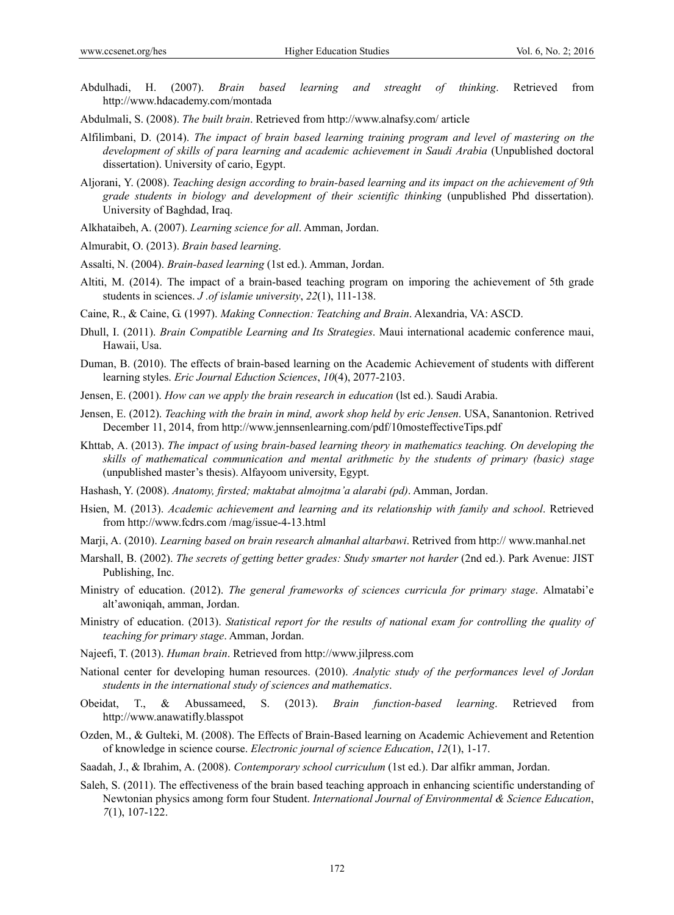- Abdulhadi, H. (2007). *Brain based learning and streaght of thinking*. Retrieved from http://www.hdacademy.com/montada
- Abdulmali, S. (2008). *The built brain*. Retrieved from http://www.alnafsy.com/ article
- Alfilimbani, D. (2014). *The impact of brain based learning training program and level of mastering on the development of skills of para learning and academic achievement in Saudi Arabia* (Unpublished doctoral dissertation). University of cario, Egypt.
- Aljorani, Y. (2008). *Teaching design according to brain-based learning and its impact on the achievement of 9th grade students in biology and development of their scientific thinking* (unpublished Phd dissertation). University of Baghdad, Iraq.
- Alkhataibeh, A. (2007). *Learning science for all*. Amman, Jordan.
- Almurabit, O. (2013). *Brain based learning*.
- Assalti, N. (2004). *Brain-based learning* (1st ed.). Amman, Jordan.
- Altiti, M. (2014). The impact of a brain-based teaching program on imporing the achievement of 5th grade students in sciences. *J .of islamie university*, *22*(1), 111-138.
- Caine, R., & Caine, G. (1997). *Making Connection: Teatching and Brain*. Alexandria, VA: ASCD.
- Dhull, I. (2011). *Brain Compatible Learning and Its Strategies*. Maui international academic conference maui, Hawaii, Usa.
- Duman, B. (2010). The effects of brain-based learning on the Academic Achievement of students with different learning styles. *Eric Journal Eduction Sciences*, *10*(4), 2077-2103.
- Jensen, E. (2001). *How can we apply the brain research in education* (lst ed.). Saudi Arabia.
- Jensen, E. (2012). *Teaching with the brain in mind, awork shop held by eric Jensen*. USA, Sanantonion. Retrived December 11, 2014, from http://www.jennsenlearning.com/pdf/10mosteffectiveTips.pdf
- Khttab, A. (2013). *The impact of using brain-based learning theory in mathematics teaching. On developing the skills of mathematical communication and mental arithmetic by the students of primary (basic) stage* (unpublished master's thesis). Alfayoom university, Egypt.
- Hashash, Y. (2008). *Anatomy, firsted; maktabat almojtma'a alarabi (pd)*. Amman, Jordan.
- Hsien, M. (2013). *Academic achievement and learning and its relationship with family and school*. Retrieved from http://www.fcdrs.com /mag/issue-4-13.html
- Marji, A. (2010). *Learning based on brain research almanhal altarbawi*. Retrived from http:// www.manhal.net
- Marshall, B. (2002). *The secrets of getting better grades: Study smarter not harder* (2nd ed.). Park Avenue: JIST Publishing, Inc.
- Ministry of education. (2012). *The general frameworks of sciences curricula for primary stage*. Almatabi'e alt'awoniqah, amman, Jordan.
- Ministry of education. (2013). *Statistical report for the results of national exam for controlling the quality of teaching for primary stage*. Amman, Jordan.
- Najeefi, T. (2013). *Human brain*. Retrieved from http://www.jilpress.com
- National center for developing human resources. (2010). *Analytic study of the performances level of Jordan students in the international study of sciences and mathematics*.
- Obeidat, T., & Abussameed, S. (2013). *Brain function-based learning*. Retrieved from http://www.anawatifly.blasspot
- Ozden, M., & Gulteki, M. (2008). The Effects of Brain-Based learning on Academic Achievement and Retention of knowledge in science course. *Electronic journal of science Education*, *12*(1), 1-17.
- Saadah, J., & Ibrahim, A. (2008). *Contemporary school curriculum* (1st ed.). Dar alfikr amman, Jordan.
- Saleh, S. (2011). The effectiveness of the brain based teaching approach in enhancing scientific understanding of Newtonian physics among form four Student. *International Journal of Environmental & Science Education*, *7*(1), 107-122.